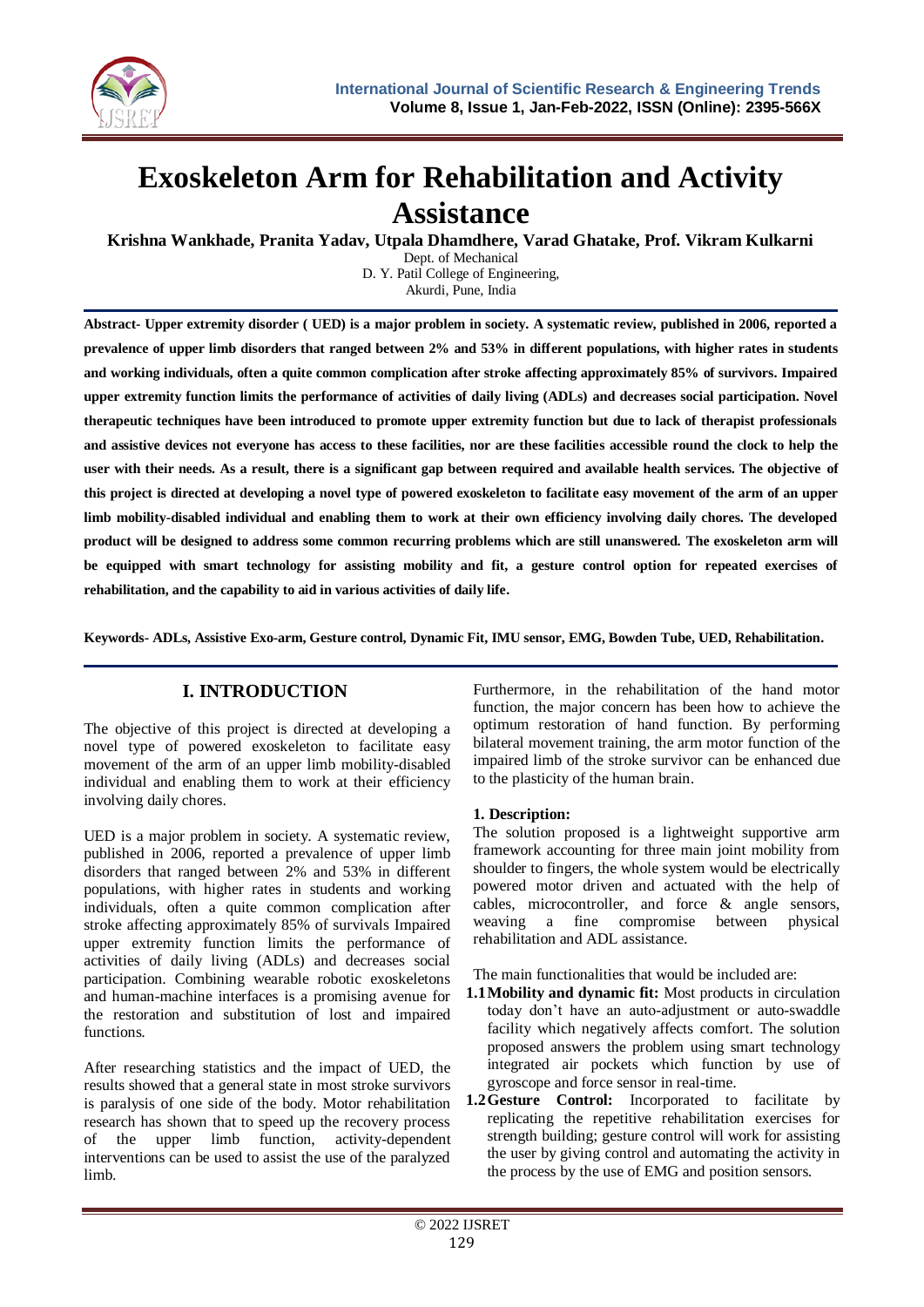

# **Exoskeleton Arm for Rehabilitation and Activity Assistance**

**Krishna Wankhade, Pranita Yadav, Utpala Dhamdhere, Varad Ghatake, Prof. Vikram Kulkarni**

Dept. of Mechanical D. Y. Patil College of Engineering,

Akurdi, Pune, India

**Abstract- Upper extremity disorder ( UED) is a major problem in society. A systematic review, published in 2006, reported a prevalence of upper limb disorders that ranged between 2% and 53% in different populations, with higher rates in students and working individuals, often a quite common complication after stroke affecting approximately 85% of survivors. Impaired upper extremity function limits the performance of activities of daily living (ADLs) and decreases social participation. Novel therapeutic techniques have been introduced to promote upper extremity function but due to lack of therapist professionals and assistive devices not everyone has access to these facilities, nor are these facilities accessible round the clock to help the user with their needs. As a result, there is a significant gap between required and available health services. The objective of this project is directed at developing a novel type of powered exoskeleton to facilitate easy movement of the arm of an upper limb mobility-disabled individual and enabling them to work at their own efficiency involving daily chores. The developed product will be designed to address some common recurring problems which are still unanswered. The exoskeleton arm will be equipped with smart technology for assisting mobility and fit, a gesture control option for repeated exercises of rehabilitation, and the capability to aid in various activities of daily life.**

**Keywords- ADLs, Assistive Exo-arm, Gesture control, Dynamic Fit, IMU sensor, EMG, Bowden Tube, UED, Rehabilitation.** 

# **I. INTRODUCTION**

The objective of this project is directed at developing a novel type of powered exoskeleton to facilitate easy movement of the arm of an upper limb mobility-disabled individual and enabling them to work at their efficiency involving daily chores.

UED is a major problem in society. A systematic review, published in 2006, reported a prevalence of upper limb disorders that ranged between 2% and 53% in different populations, with higher rates in students and working individuals, often a quite common complication after stroke affecting approximately 85% of survivals Impaired upper extremity function limits the performance of activities of daily living (ADLs) and decreases social participation. Combining wearable robotic exoskeletons and human-machine interfaces is a promising avenue for the restoration and substitution of lost and impaired functions.

After researching statistics and the impact of UED, the results showed that a general state in most stroke survivors is paralysis of one side of the body. Motor rehabilitation research has shown that to speed up the recovery process of the upper limb function, activity-dependent interventions can be used to assist the use of the paralyzed limb.

Furthermore, in the rehabilitation of the hand motor function, the major concern has been how to achieve the optimum restoration of hand function. By performing bilateral movement training, the arm motor function of the impaired limb of the stroke survivor can be enhanced due to the plasticity of the human brain.

#### **1. Description:**

The solution proposed is a lightweight supportive arm framework accounting for three main joint mobility from shoulder to fingers, the whole system would be electrically powered motor driven and actuated with the help of cables, microcontroller, and force & angle sensors, weaving a fine compromise between physical rehabilitation and ADL assistance.

The main functionalities that would be included are:

- **1.1Mobility and dynamic fit:** Most products in circulation today don't have an auto-adjustment or auto-swaddle facility which negatively affects comfort. The solution proposed answers the problem using smart technology integrated air pockets which function by use of gyroscope and force sensor in real-time.
- **1.2Gesture Control:** Incorporated to facilitate by replicating the repetitive rehabilitation exercises for strength building; gesture control will work for assisting the user by giving control and automating the activity in the process by the use of EMG and position sensors.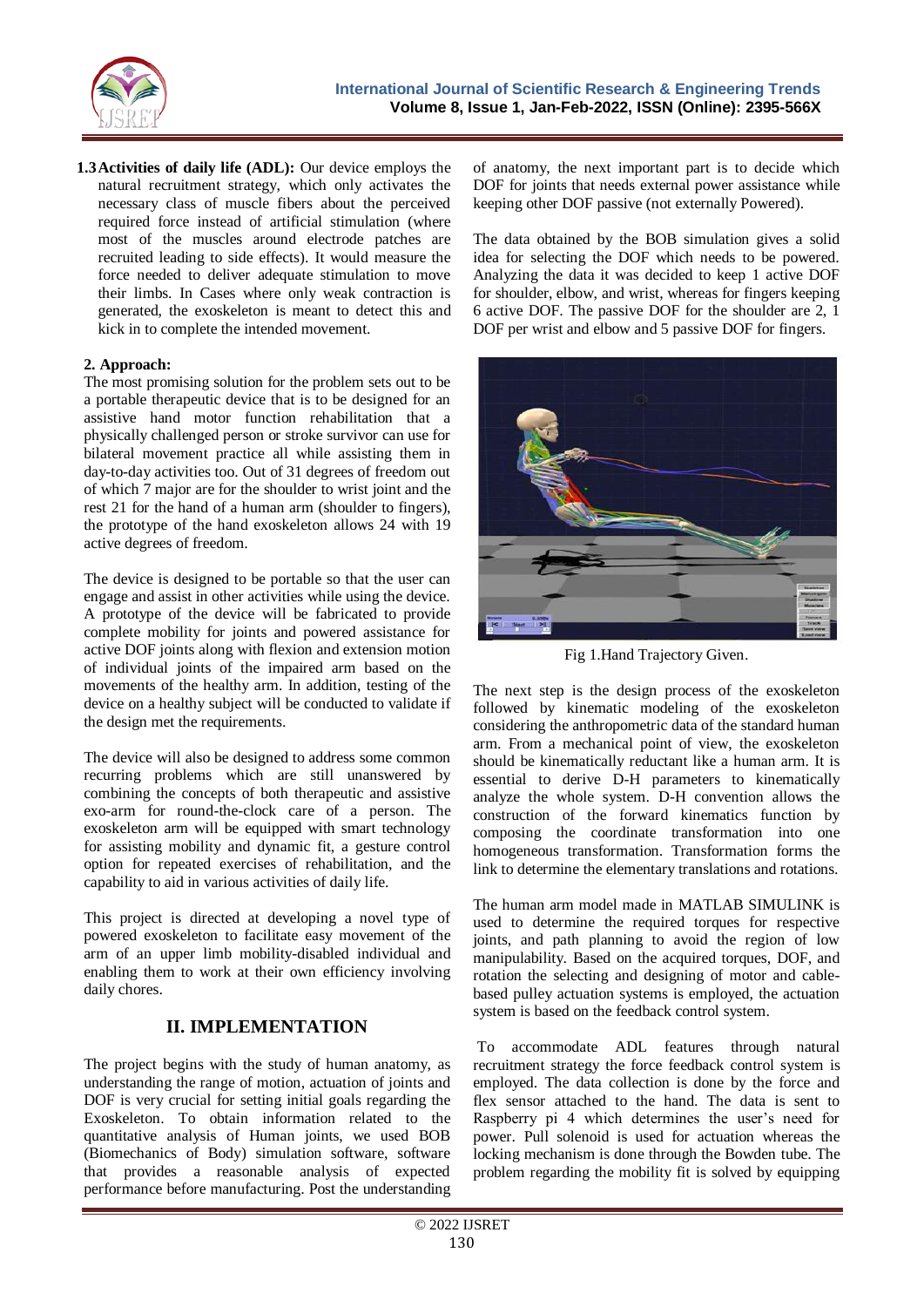

**1.3Activities of daily life (ADL):** Our device employs the natural recruitment strategy, which only activates the necessary class of muscle fibers about the perceived required force instead of artificial stimulation (where most of the muscles around electrode patches are recruited leading to side effects). It would measure the force needed to deliver adequate stimulation to move their limbs. In Cases where only weak contraction is generated, the exoskeleton is meant to detect this and kick in to complete the intended movement.

#### **2. Approach:**

The most promising solution for the problem sets out to be a portable therapeutic device that is to be designed for an assistive hand motor function rehabilitation that a physically challenged person or stroke survivor can use for bilateral movement practice all while assisting them in day-to-day activities too. Out of 31 degrees of freedom out of which 7 major are for the shoulder to wrist joint and the rest 21 for the hand of a human arm (shoulder to fingers), the prototype of the hand exoskeleton allows 24 with 19 active degrees of freedom.

The device is designed to be portable so that the user can engage and assist in other activities while using the device. A prototype of the device will be fabricated to provide complete mobility for joints and powered assistance for active DOF joints along with flexion and extension motion of individual joints of the impaired arm based on the movements of the healthy arm. In addition, testing of the device on a healthy subject will be conducted to validate if the design met the requirements.

The device will also be designed to address some common recurring problems which are still unanswered by combining the concepts of both therapeutic and assistive exo-arm for round-the-clock care of a person. The exoskeleton arm will be equipped with smart technology for assisting mobility and dynamic fit, a gesture control option for repeated exercises of rehabilitation, and the capability to aid in various activities of daily life.

This project is directed at developing a novel type of powered exoskeleton to facilitate easy movement of the arm of an upper limb mobility-disabled individual and enabling them to work at their own efficiency involving daily chores.

## **II. IMPLEMENTATION**

The project begins with the study of human anatomy, as understanding the range of motion, actuation of joints and DOF is very crucial for setting initial goals regarding the Exoskeleton. To obtain information related to the quantitative analysis of Human joints, we used BOB (Biomechanics of Body) simulation software, software that provides a reasonable analysis of expected performance before manufacturing. Post the understanding

of anatomy, the next important part is to decide which DOF for joints that needs external power assistance while keeping other DOF passive (not externally Powered).

The data obtained by the BOB simulation gives a solid idea for selecting the DOF which needs to be powered. Analyzing the data it was decided to keep 1 active DOF for shoulder, elbow, and wrist, whereas for fingers keeping 6 active DOF. The passive DOF for the shoulder are 2, 1 DOF per wrist and elbow and 5 passive DOF for fingers.



Fig 1.Hand Trajectory Given.

The next step is the design process of the exoskeleton followed by kinematic modeling of the exoskeleton considering the anthropometric data of the standard human arm. From a mechanical point of view, the exoskeleton should be kinematically reductant like a human arm. It is essential to derive D-H parameters to kinematically analyze the whole system. D-H convention allows the construction of the forward kinematics function by composing the coordinate transformation into one homogeneous transformation. Transformation forms the link to determine the elementary translations and rotations.

The human arm model made in MATLAB SIMULINK is used to determine the required torques for respective joints, and path planning to avoid the region of low manipulability. Based on the acquired torques, DOF, and rotation the selecting and designing of motor and cablebased pulley actuation systems is employed, the actuation system is based on the feedback control system.

To accommodate ADL features through natural recruitment strategy the force feedback control system is employed. The data collection is done by the force and flex sensor attached to the hand. The data is sent to Raspberry pi 4 which determines the user's need for power. Pull solenoid is used for actuation whereas the locking mechanism is done through the Bowden tube. The problem regarding the mobility fit is solved by equipping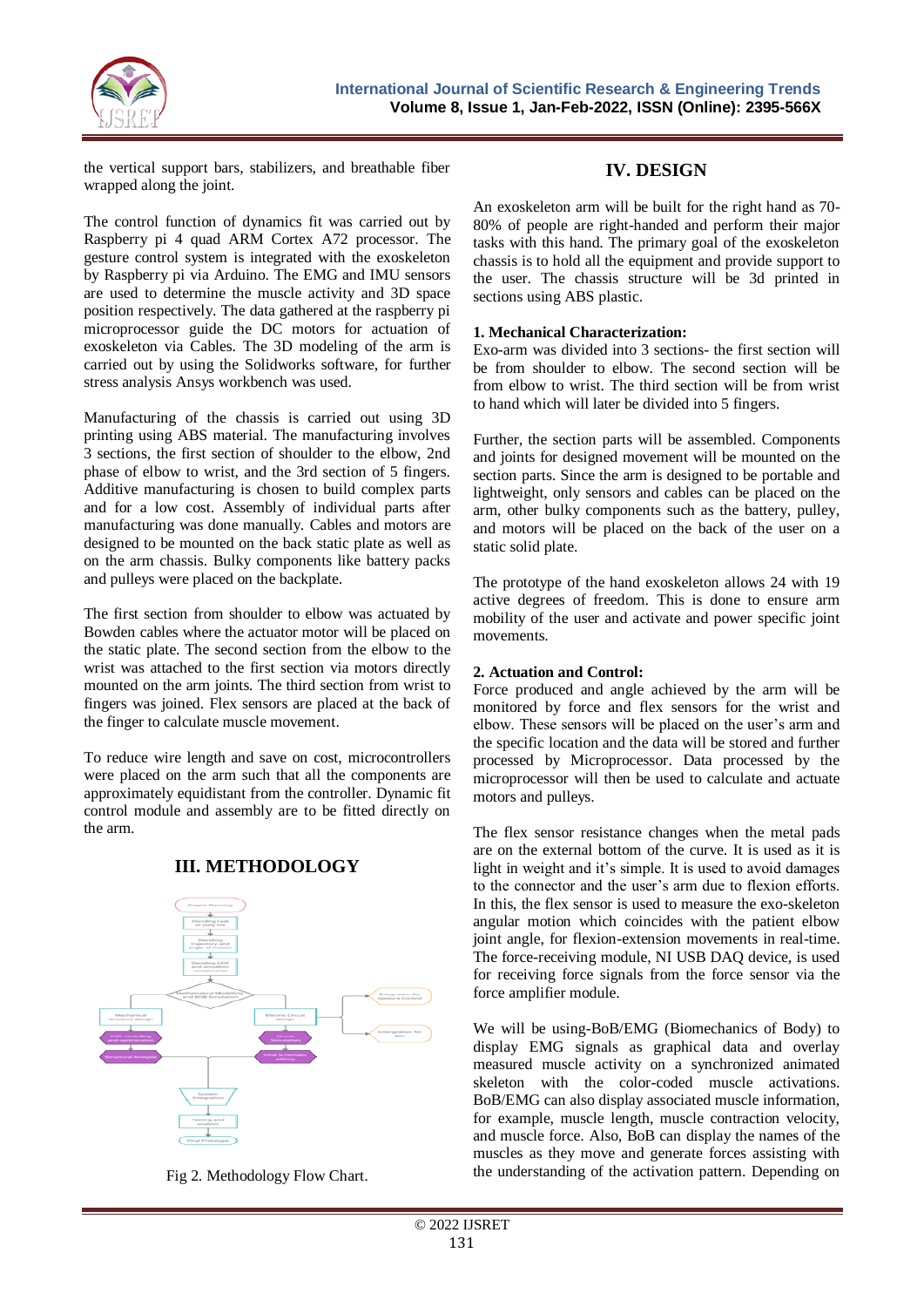

the vertical support bars, stabilizers, and breathable fiber wrapped along the joint.

The control function of dynamics fit was carried out by Raspberry pi 4 quad ARM Cortex A72 processor. The gesture control system is integrated with the exoskeleton by Raspberry pi via Arduino. The EMG and IMU sensors are used to determine the muscle activity and 3D space position respectively. The data gathered at the raspberry pi microprocessor guide the DC motors for actuation of exoskeleton via Cables. The 3D modeling of the arm is carried out by using the Solidworks software, for further stress analysis Ansys workbench was used.

Manufacturing of the chassis is carried out using 3D printing using ABS material. The manufacturing involves 3 sections, the first section of shoulder to the elbow, 2nd phase of elbow to wrist, and the 3rd section of 5 fingers. Additive manufacturing is chosen to build complex parts and for a low cost. Assembly of individual parts after manufacturing was done manually. Cables and motors are designed to be mounted on the back static plate as well as on the arm chassis. Bulky components like battery packs and pulleys were placed on the backplate.

The first section from shoulder to elbow was actuated by Bowden cables where the actuator motor will be placed on the static plate. The second section from the elbow to the wrist was attached to the first section via motors directly mounted on the arm joints. The third section from wrist to fingers was joined. Flex sensors are placed at the back of the finger to calculate muscle movement.

To reduce wire length and save on cost, microcontrollers were placed on the arm such that all the components are approximately equidistant from the controller. Dynamic fit control module and assembly are to be fitted directly on the arm.



## **III. METHODOLOGY**

Fig 2. Methodology Flow Chart.

## **IV. DESIGN**

An exoskeleton arm will be built for the right hand as 70- 80% of people are right-handed and perform their major tasks with this hand. The primary goal of the exoskeleton chassis is to hold all the equipment and provide support to the user. The chassis structure will be 3d printed in sections using ABS plastic.

#### **1. Mechanical Characterization:**

Exo-arm was divided into 3 sections- the first section will be from shoulder to elbow. The second section will be from elbow to wrist. The third section will be from wrist to hand which will later be divided into 5 fingers.

Further, the section parts will be assembled. Components and joints for designed movement will be mounted on the section parts. Since the arm is designed to be portable and lightweight, only sensors and cables can be placed on the arm, other bulky components such as the battery, pulley, and motors will be placed on the back of the user on a static solid plate.

The prototype of the hand exoskeleton allows 24 with 19 active degrees of freedom. This is done to ensure arm mobility of the user and activate and power specific joint movements.

#### **2. Actuation and Control:**

Force produced and angle achieved by the arm will be monitored by force and flex sensors for the wrist and elbow. These sensors will be placed on the user's arm and the specific location and the data will be stored and further processed by Microprocessor. Data processed by the microprocessor will then be used to calculate and actuate motors and pulleys.

The flex sensor resistance changes when the metal pads are on the external bottom of the curve. It is used as it is light in weight and it's simple. It is used to avoid damages to the connector and the user's arm due to flexion efforts. In this, the flex sensor is used to measure the exo-skeleton angular motion which coincides with the patient elbow joint angle, for flexion-extension movements in real-time. The force-receiving module, NI USB DAQ device, is used for receiving force signals from the force sensor via the force amplifier module.

We will be using-BoB/EMG (Biomechanics of Body) to display EMG signals as graphical data and overlay measured muscle activity on a synchronized animated skeleton with the color-coded muscle activations. BoB/EMG can also display associated muscle information, for example, muscle length, muscle contraction velocity, and muscle force. Also, BoB can display the names of the muscles as they move and generate forces assisting with the understanding of the activation pattern. Depending on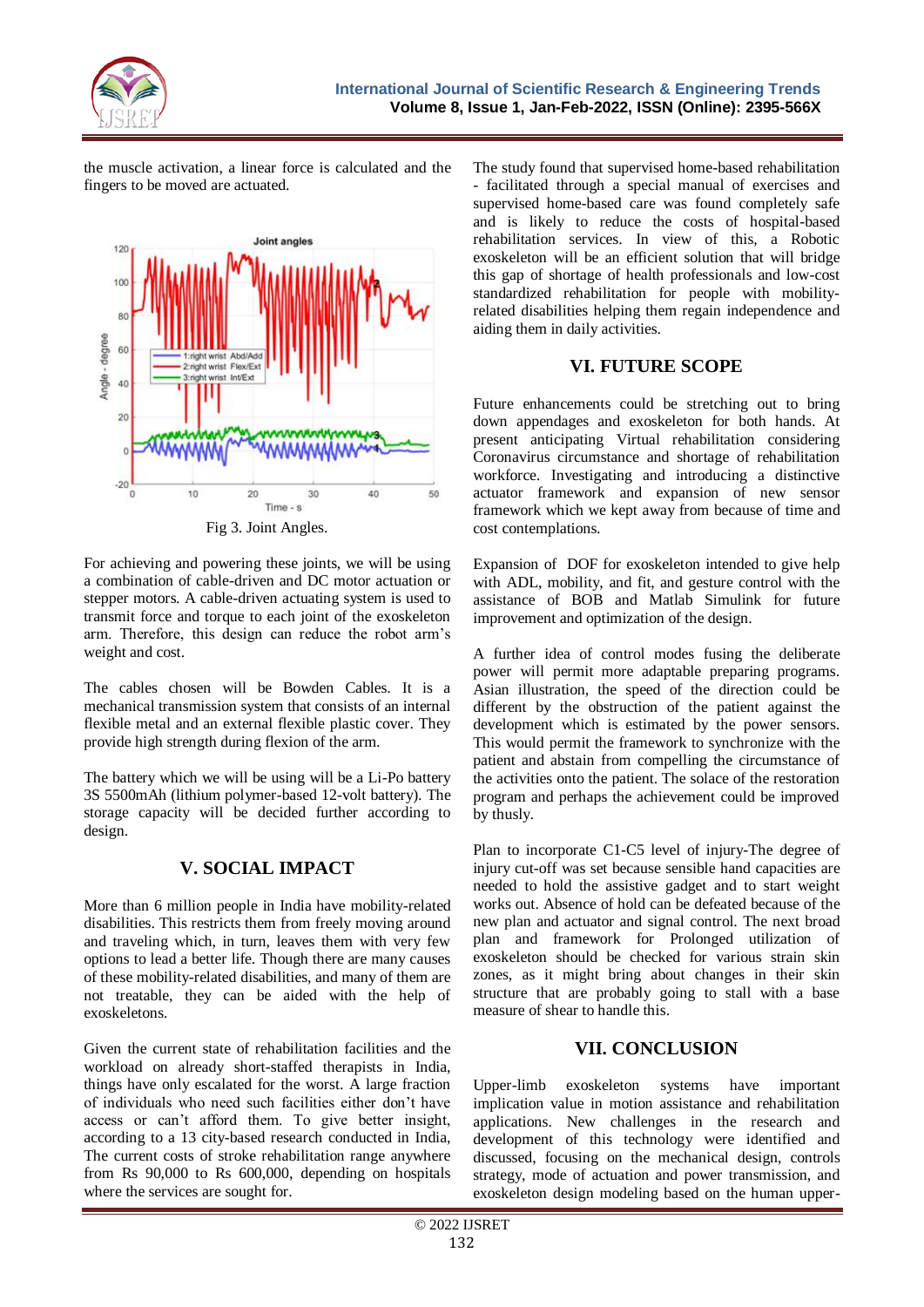

the muscle activation, a linear force is calculated and the fingers to be moved are actuated.



Fig 3. Joint Angles.

For achieving and powering these joints, we will be using a combination of cable-driven and DC motor actuation or stepper motors. A cable-driven actuating system is used to transmit force and torque to each joint of the exoskeleton arm. Therefore, this design can reduce the robot arm's weight and cost.

The cables chosen will be Bowden Cables. It is a mechanical transmission system that consists of an internal flexible metal and an external flexible plastic cover. They provide high strength during flexion of the arm.

The battery which we will be using will be a Li-Po battery 3S 5500mAh (lithium polymer-based 12-volt battery). The storage capacity will be decided further according to design.

## **V. SOCIAL IMPACT**

More than 6 million people in India have mobility-related disabilities. This restricts them from freely moving around and traveling which, in turn, leaves them with very few options to lead a better life. Though there are many causes of these mobility-related disabilities, and many of them are not treatable, they can be aided with the help of exoskeletons.

Given the current state of rehabilitation facilities and the workload on already short-staffed therapists in India, things have only escalated for the worst. A large fraction of individuals who need such facilities either don't have access or can't afford them. To give better insight, according to a 13 city-based research conducted in India, The current costs of stroke rehabilitation range anywhere from Rs 90,000 to Rs 600,000, depending on hospitals where the services are sought for.

The study found that supervised home-based rehabilitation - facilitated through a special manual of exercises and supervised home-based care was found completely safe and is likely to reduce the costs of hospital-based rehabilitation services. In view of this, a Robotic exoskeleton will be an efficient solution that will bridge this gap of shortage of health professionals and low-cost standardized rehabilitation for people with mobilityrelated disabilities helping them regain independence and aiding them in daily activities.

# **VI. FUTURE SCOPE**

Future enhancements could be stretching out to bring down appendages and exoskeleton for both hands. At present anticipating Virtual rehabilitation considering Coronavirus circumstance and shortage of rehabilitation workforce. Investigating and introducing a distinctive actuator framework and expansion of new sensor framework which we kept away from because of time and cost contemplations.

Expansion of DOF for exoskeleton intended to give help with ADL, mobility, and fit, and gesture control with the assistance of BOB and Matlab Simulink for future improvement and optimization of the design.

A further idea of control modes fusing the deliberate power will permit more adaptable preparing programs. Asian illustration, the speed of the direction could be different by the obstruction of the patient against the development which is estimated by the power sensors. This would permit the framework to synchronize with the patient and abstain from compelling the circumstance of the activities onto the patient. The solace of the restoration program and perhaps the achievement could be improved by thusly.

Plan to incorporate C1-C5 level of injury-The degree of injury cut-off was set because sensible hand capacities are needed to hold the assistive gadget and to start weight works out. Absence of hold can be defeated because of the new plan and actuator and signal control. The next broad plan and framework for Prolonged utilization of exoskeleton should be checked for various strain skin zones, as it might bring about changes in their skin structure that are probably going to stall with a base measure of shear to handle this.

# **VII. CONCLUSION**

Upper-limb exoskeleton systems have important implication value in motion assistance and rehabilitation applications. New challenges in the research and development of this technology were identified and discussed, focusing on the mechanical design, controls strategy, mode of actuation and power transmission, and exoskeleton design modeling based on the human upper-